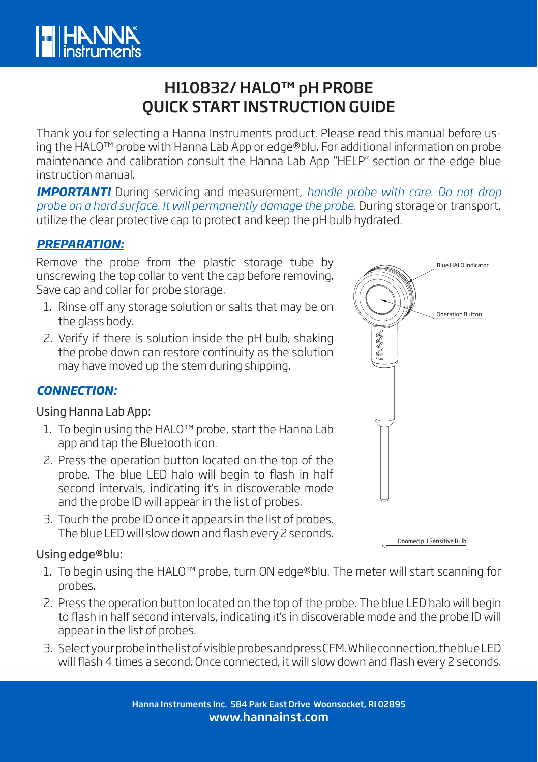

# HI10832/ HALO™ pH PROBE QUICK START INSTRUCTION GUIDE

Thank you for selecting a Hanna Instruments product. Please read this manual before using the HALO™ probe with Hanna Lab App or edge®blu. For additional information on probe maintenance and calibration consult the Hanna Lab App "HELP" section or the edge blue instruction manual.

*IMPORTANT!* During servicing and measurement, *handle probe with care. Do not drop probe on a hard surface. It will permanently damage the probe.* During storage or transport, utilize the clear protective cap to protect and keep the pH bulb hydrated.

## *PREPARATION:*

Remove the probe from the plastic storage tube by unscrewing the top collar to vent the cap before removing. Save cap and collar for probe storage.

- 1. Rinse off any storage solution or salts that may be on the glass body.
- 2. Verify if there is solution inside the pH bulb, shaking the probe down can restore continuity as the solution may have moved up the stem during shipping.

# *CONNECTION:*

#### Using Hanna Lab App:

- 1. To begin using the HALO™ probe, start the Hanna Lab app and tap the Bluetooth icon.
- 2. Press the operation button located on the top of the probe. The blue LED halo will begin to flash in half second intervals, indicating it's in discoverable mode and the probe ID will appear in the list of probes.
- 3. Touch the probe ID once it appears in the list of probes. The blue LED will slow down and flash every 2 seconds.

#### Using edge®blu:

- 1. To begin using the HALO™ probe, turn ON edge®blu. The meter will start scanning for probes.
- 2. Press the operation button located on the top of the probe. The blue LED halo will begin to flash in half second intervals, indicating it's in discoverable mode and the probe ID will appear in the list of probes.
- 3. Select your probe in the list of visible probes and press CFM. While connection, the blue LED will flash 4 times a second. Once connected, it will slow down and flash every 2 seconds.